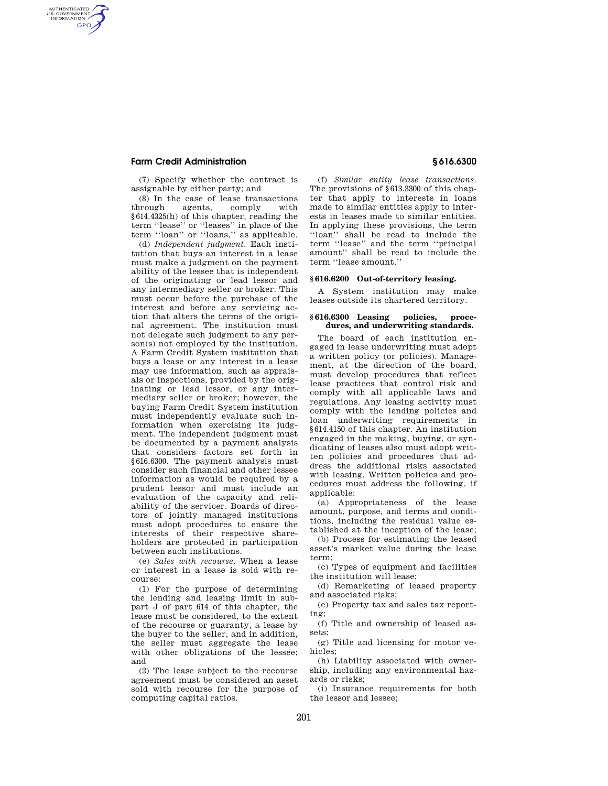### **Farm Credit Administration § 616.6300**

AUTHENTICATED<br>U.S. GOVERNMENT<br>INFORMATION **GPO** 

> (7) Specify whether the contract is assignable by either party; and

> (8) In the case of lease transactions through agents, comply with §614.4325(h) of this chapter, reading the term ''lease'' or ''leases'' in place of the term ''loan'' or ''loans,'' as applicable.

(d) *Independent judgment.* Each institution that buys an interest in a lease must make a judgment on the payment ability of the lessee that is independent of the originating or lead lessor and any intermediary seller or broker. This must occur before the purchase of the interest and before any servicing action that alters the terms of the original agreement. The institution must not delegate such judgment to any person(s) not employed by the institution. A Farm Credit System institution that buys a lease or any interest in a lease may use information, such as appraisals or inspections, provided by the originating or lead lessor, or any intermediary seller or broker; however, the buying Farm Credit System institution must independently evaluate such information when exercising its judgment. The independent judgment must be documented by a payment analysis that considers factors set forth in §616.6300. The payment analysis must consider such financial and other lessee information as would be required by a prudent lessor and must include an evaluation of the capacity and reliability of the servicer. Boards of directors of jointly managed institutions must adopt procedures to ensure the interests of their respective shareholders are protected in participation between such institutions.

(e) *Sales with recourse.* When a lease or interest in a lease is sold with recourse:

(1) For the purpose of determining the lending and leasing limit in subpart J of part 614 of this chapter, the lease must be considered, to the extent of the recourse or guaranty, a lease by the buyer to the seller, and in addition, the seller must aggregate the lease with other obligations of the lessee; and

(2) The lease subject to the recourse agreement must be considered an asset sold with recourse for the purpose of computing capital ratios.

(f) *Similar entity lease transactions.*  The provisions of §613.3300 of this chapter that apply to interests in loans made to similar entities apply to interests in leases made to similar entities. In applying these provisions, the term ''loan'' shall be read to include the term ''lease'' and the term ''principal amount'' shall be read to include the term ''lease amount.''

#### **§ 616.6200 Out-of-territory leasing.**

A System institution may make leases outside its chartered territory.

#### **§ 616.6300 Leasing policies, procedures, and underwriting standards.**

The board of each institution engaged in lease underwriting must adopt a written policy (or policies). Management, at the direction of the board, must develop procedures that reflect lease practices that control risk and comply with all applicable laws and regulations. Any leasing activity must comply with the lending policies and loan underwriting requirements in §614.4150 of this chapter. An institution engaged in the making, buying, or syndicating of leases also must adopt written policies and procedures that address the additional risks associated with leasing. Written policies and procedures must address the following, if applicable:

(a) Appropriateness of the lease amount, purpose, and terms and conditions, including the residual value established at the inception of the lease;

(b) Process for estimating the leased asset's market value during the lease term;

(c) Types of equipment and facilities the institution will lease;

(d) Remarketing of leased property and associated risks;

(e) Property tax and sales tax reporting;

(f) Title and ownership of leased assets;

(g) Title and licensing for motor vehicles;

(h) Liability associated with ownership, including any environmental hazards or risks;

(i) Insurance requirements for both the lessor and lessee;